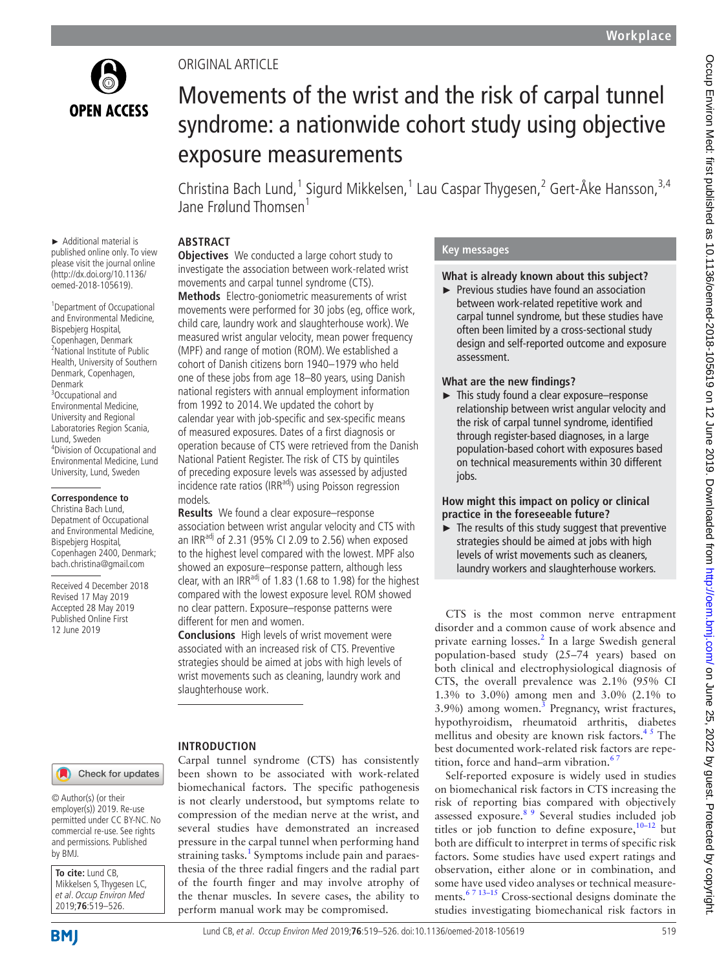

► Additional material is published online only. To view please visit the journal online (http://dx.doi.org/10.1136/ oemed-2018-105619).

1 Department of Occupational and Environmental Medicine, Bispebjerg Hospital, Copenhagen, Denmark <sup>2</sup>National Institute of Public Health, University of Southern Denmark, Copenhagen,

4 Division of Occupational and Environmental Medicine, Lund University, Lund, Sweden

**Correspondence to** Christina Bach Lund, Depatment of Occupational and Environmental Medicine, Bispebjerg Hospital, Copenhagen 2400, Denmark; bach.christina@gmail.com Received 4 December 2018 Revised 17 May 2019 Accepted 28 May 2019 Published Online First 12 June 2019

Denmark <sup>3</sup>Occupational and Environmental Medicine, University and Regional Laboratories Region Scania,

Lund, Sweden

# ORIGINAL ARTICLE

# Movements of the wrist and the risk of carpal tunnel syndrome: a nationwide cohort study using objective exposure measurements

Christina Bach Lund,<sup>1</sup> Sigurd Mikkelsen,<sup>1</sup> Lau Caspar Thygesen,<sup>2</sup> Gert-Åke Hansson,<sup>3,4</sup> Jane Frølund Thomsen<sup>1</sup>

# **Abstract**

**Objectives** We conducted a large cohort study to investigate the association between work-related wrist movements and carpal tunnel syndrome (CTS).

**Methods** Electro-goniometric measurements of wrist movements were performed for 30 jobs (eg, office work, child care, laundry work and slaughterhouse work). We measured wrist angular velocity, mean power frequency (MPF) and range of motion (ROM). We established a cohort of Danish citizens born 1940–1979 who held one of these jobs from age 18–80 years, using Danish national registers with annual employment information from 1992 to 2014. We updated the cohort by calendar year with job-specific and sex-specific means of measured exposures. Dates of a first diagnosis or operation because of CTS were retrieved from the Danish National Patient Register. The risk of CTS by quintiles of preceding exposure levels was assessed by adjusted incidence rate ratios (IRR $^{adj}$ ) using Poisson regression models.

**Results** We found a clear exposure–response association between wrist angular velocity and CTS with an IRR<sup>adj</sup> of 2.31 (95% CI 2.09 to 2.56) when exposed to the highest level compared with the lowest. MPF also showed an exposure–response pattern, although less clear, with an  $IRR^{adj}$  of 1.83 (1.68 to 1.98) for the highest compared with the lowest exposure level. ROM showed no clear pattern. Exposure–response patterns were different for men and women.

**Conclusions** High levels of wrist movement were associated with an increased risk of CTS. Preventive strategies should be aimed at jobs with high levels of wrist movements such as cleaning, laundry work and slaughterhouse work.

# **Introduction**

Carpal tunnel syndrome (CTS) has consistently been shown to be associated with work-related biomechanical factors. The specific pathogenesis is not clearly understood, but symptoms relate to compression of the median nerve at the wrist, and several studies have demonstrated an increased pressure in the carpal tunnel when performing hand straining tasks.<sup>1</sup> Symptoms include pain and paraesthesia of the three radial fingers and the radial part of the fourth finger and may involve atrophy of the thenar muscles. In severe cases, the ability to perform manual work may be compromised.

# **Key messages**

# **What is already known about this subject?**

► Previous studies have found an association between work-related repetitive work and carpal tunnel syndrome, but these studies have often been limited by a cross-sectional study design and self-reported outcome and exposure assessment.

# **What are the new findings?**

► This study found a clear exposure–response relationship between wrist angular velocity and the risk of carpal tunnel syndrome, identified through register-based diagnoses, in a large population-based cohort with exposures based on technical measurements within 30 different jobs.

# **How might this impact on policy or clinical practice in the foreseeable future?**

► The results of this study suggest that preventive strategies should be aimed at jobs with high levels of wrist movements such as cleaners, laundry workers and slaughterhouse workers.

CTS is the most common nerve entrapment disorder and a common cause of work absence and private earning losses.<sup>[2](#page-7-1)</sup> In a large Swedish general population-based study (25–74 years) based on both clinical and electrophysiological diagnosis of CTS, the overall prevalence was 2.1% (95% CI 1.3% to 3.0%) among men and 3.0% (2.1% to  $3.9\%$ ) among women.<sup>3</sup> Pregnancy, wrist fractures, hypothyroidism, rheumatoid arthritis, diabetes mellitus and obesity are known risk factors. $45$  The best documented work-related risk factors are repetition, force and hand–arm vibration.<sup>67</sup>

Self-reported exposure is widely used in studies on biomechanical risk factors in CTS increasing the risk of reporting bias compared with objectively assessed exposure.<sup>8 9</sup> Several studies included job titles or job function to define exposure,  $10-12$  but both are difficult to interpret in terms of specific risk factors. Some studies have used expert ratings and observation, either alone or in combination, and some have used video analyses or technical measurements.[6 7 13–15](#page-7-4) Cross-sectional designs dominate the studies investigating biomechanical risk factors in

#### Check for updates

© Author(s) (or their employer(s)) 2019. Re-use permitted under CC BY-NC. No commercial re-use. See rights and permissions. Published by BMJ.

**To cite:** Lund CB, Mikkelsen S, Thygesen LC, et al. Occup Environ Med 2019;**76**:519–526.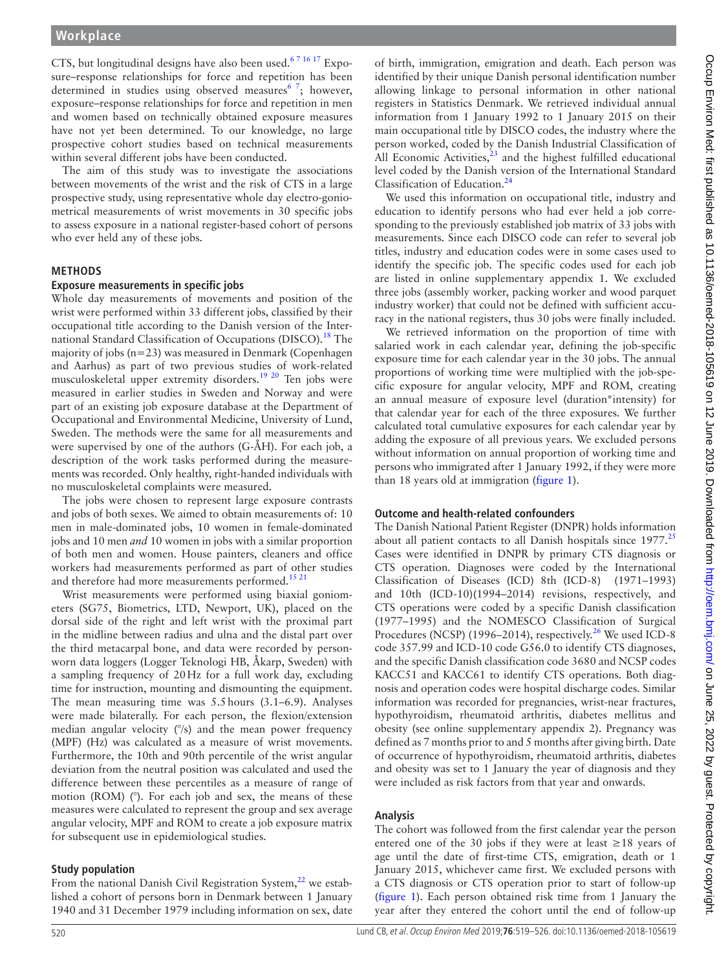CTS, but longitudinal designs have also been used.<sup>67 16 17</sup> Exposure–response relationships for force and repetition has been determined in studies using observed measures  $\frac{6}{7}$ ; however, exposure–response relationships for force and repetition in men and women based on technically obtained exposure measures have not yet been determined. To our knowledge, no large prospective cohort studies based on technical measurements within several different jobs have been conducted.

The aim of this study was to investigate the associations between movements of the wrist and the risk of CTS in a large prospective study, using representative whole day electro-goniometrical measurements of wrist movements in 30 specific jobs to assess exposure in a national register-based cohort of persons who ever held any of these jobs.

## **Methods**

#### **Exposure measurements in specific jobs**

Whole day measurements of movements and position of the wrist were performed within 33 different jobs, classified by their occupational title according to the Danish version of the International Standard Classification of Occupations (DISCO).<sup>18</sup> The majority of jobs (n=23) was measured in Denmark (Copenhagen and Aarhus) as part of two previous studies of work-related musculoskeletal upper extremity disorders.[19 20](#page-7-8) Ten jobs were measured in earlier studies in Sweden and Norway and were part of an existing job exposure database at the Department of Occupational and Environmental Medicine, University of Lund, Sweden. The methods were the same for all measurements and were supervised by one of the authors (G-ÅH). For each job, a description of the work tasks performed during the measurements was recorded. Only healthy, right-handed individuals with no musculoskeletal complaints were measured.

The jobs were chosen to represent large exposure contrasts and jobs of both sexes. We aimed to obtain measurements of: 10 men in male-dominated jobs, 10 women in female-dominated jobs and 10 men *and* 10 women in jobs with a similar proportion of both men and women. House painters, cleaners and office workers had measurements performed as part of other studies and therefore had more measurements performed.<sup>[15 21](#page-7-9)</sup>

Wrist measurements were performed using biaxial goniometers (SG75, Biometrics, LTD, Newport, UK), placed on the dorsal side of the right and left wrist with the proximal part in the midline between radius and ulna and the distal part over the third metacarpal bone, and data were recorded by personworn data loggers (Logger Teknologi HB, Åkarp, Sweden) with a sampling frequency of 20Hz for a full work day, excluding time for instruction, mounting and dismounting the equipment. The mean measuring time was 5.5hours (3.1–6.9). Analyses were made bilaterally. For each person, the flexion/extension median angular velocity (°/s) and the mean power frequency (MPF) (Hz) was calculated as a measure of wrist movements. Furthermore, the 10th and 90th percentile of the wrist angular deviation from the neutral position was calculated and used the difference between these percentiles as a measure of range of motion (ROM) (°). For each job and sex, the means of these measures were calculated to represent the group and sex average angular velocity, MPF and ROM to create a job exposure matrix for subsequent use in epidemiological studies.

#### **Study population**

From the national Danish Civil Registration System, $^{22}$  $^{22}$  $^{22}$  we established a cohort of persons born in Denmark between 1 January 1940 and 31 December 1979 including information on sex, date

of birth, immigration, emigration and death. Each person was identified by their unique Danish personal identification number allowing linkage to personal information in other national registers in Statistics Denmark. We retrieved individual annual information from 1 January 1992 to 1 January 2015 on their main occupational title by DISCO codes, the industry where the person worked, coded by the Danish Industrial Classification of All Economic Activities, $23$  and the highest fulfilled educational level coded by the Danish version of the International Standard Classification of Education.[24](#page-7-12)

We used this information on occupational title, industry and education to identify persons who had ever held a job corresponding to the previously established job matrix of 33 jobs with measurements. Since each DISCO code can refer to several job titles, industry and education codes were in some cases used to identify the specific job. The specific codes used for each job are listed in online [supplementary](https://dx.doi.org/10.1136/oemed-2018-105619) appendix 1. We excluded three jobs (assembly worker, packing worker and wood parquet industry worker) that could not be defined with sufficient accuracy in the national registers, thus 30 jobs were finally included.

We retrieved information on the proportion of time with salaried work in each calendar year, defining the job-specific exposure time for each calendar year in the 30 jobs. The annual proportions of working time were multiplied with the job-specific exposure for angular velocity, MPF and ROM, creating an annual measure of exposure level (duration\*intensity) for that calendar year for each of the three exposures. We further calculated total cumulative exposures for each calendar year by adding the exposure of all previous years. We excluded persons without information on annual proportion of working time and persons who immigrated after 1 January 1992, if they were more than 18 years old at immigration ([figure](#page-2-0) 1).

#### **Outcome and health-related confounders**

The Danish National Patient Register (DNPR) holds information about all patient contacts to all Danish hospitals since  $1977$ <sup>[25](#page-7-13)</sup> Cases were identified in DNPR by primary CTS diagnosis or CTS operation. Diagnoses were coded by the International Classification of Diseases (ICD) 8th (ICD-8) (1971–1993) and 10th (ICD-10)(1994–2014) revisions, respectively, and CTS operations were coded by a specific Danish classification (1977–1995) and the NOMESCO Classification of Surgical Procedures (NCSP) (1996–2014), respectively.<sup>26</sup> We used ICD-8 code 357.99 and ICD-10 code G56.0 to identify CTS diagnoses, and the specific Danish classification code 3680 and NCSP codes KACC51 and KACC61 to identify CTS operations. Both diagnosis and operation codes were hospital discharge codes. Similar information was recorded for pregnancies, wrist-near fractures, hypothyroidism, rheumatoid arthritis, diabetes mellitus and obesity (see online [supplementary](https://dx.doi.org/10.1136/oemed-2018-105619) appendix 2). Pregnancy was defined as 7 months prior to and 5 months after giving birth. Date of occurrence of hypothyroidism, rheumatoid arthritis, diabetes and obesity was set to 1 January the year of diagnosis and they were included as risk factors from that year and onwards.

# **Analysis**

The cohort was followed from the first calendar year the person entered one of the 30 jobs if they were at least  $\geq$ 18 years of age until the date of first-time CTS, emigration, death or 1 January 2015, whichever came first. We excluded persons with a CTS diagnosis or CTS operation prior to start of follow-up ([figure](#page-2-0) 1). Each person obtained risk time from 1 January the year after they entered the cohort until the end of follow-up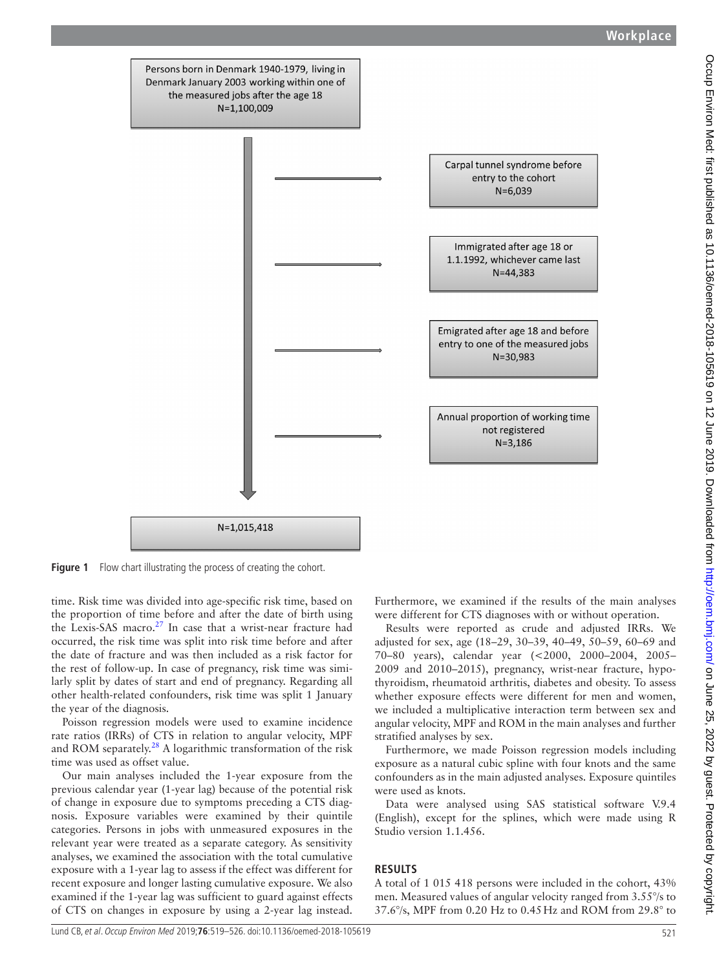

<span id="page-2-0"></span>**Figure 1** Flow chart illustrating the process of creating the cohort.

time. Risk time was divided into age-specific risk time, based on the proportion of time before and after the date of birth using the Lexis-SAS macro.[27](#page-7-15) In case that a wrist-near fracture had occurred, the risk time was split into risk time before and after the date of fracture and was then included as a risk factor for the rest of follow-up. In case of pregnancy, risk time was similarly split by dates of start and end of pregnancy. Regarding all other health-related confounders, risk time was split 1 January the year of the diagnosis.

Poisson regression models were used to examine incidence rate ratios (IRRs) of CTS in relation to angular velocity, MPF and ROM separately.<sup>28</sup> A logarithmic transformation of the risk time was used as offset value.

Our main analyses included the 1-year exposure from the previous calendar year (1-year lag) because of the potential risk of change in exposure due to symptoms preceding a CTS diagnosis. Exposure variables were examined by their quintile categories. Persons in jobs with unmeasured exposures in the relevant year were treated as a separate category. As sensitivity analyses, we examined the association with the total cumulative exposure with a 1-year lag to assess if the effect was different for recent exposure and longer lasting cumulative exposure. We also examined if the 1-year lag was sufficient to guard against effects of CTS on changes in exposure by using a 2-year lag instead.

Furthermore, we examined if the results of the main analyses were different for CTS diagnoses with or without operation.

Results were reported as crude and adjusted IRRs. We adjusted for sex, age (18–29, 30–39, 40–49, 50–59, 60–69 and 70–80 years), calendar year (<2000, 2000–2004, 2005– 2009 and 2010–2015), pregnancy, wrist-near fracture, hypothyroidism, rheumatoid arthritis, diabetes and obesity. To assess whether exposure effects were different for men and women, we included a multiplicative interaction term between sex and angular velocity, MPF and ROM in the main analyses and further stratified analyses by sex.

Furthermore, we made Poisson regression models including exposure as a natural cubic spline with four knots and the same confounders as in the main adjusted analyses. Exposure quintiles were used as knots.

Data were analysed using SAS statistical software V.9.4 (English), except for the splines, which were made using R Studio version 1.1.456.

# **Results**

A total of 1 015 418 persons were included in the cohort, 43% men. Measured values of angular velocity ranged from 3.55°/s to 37.6°/s, MPF from 0.20 Hz to 0.45Hz and ROM from 29.8° to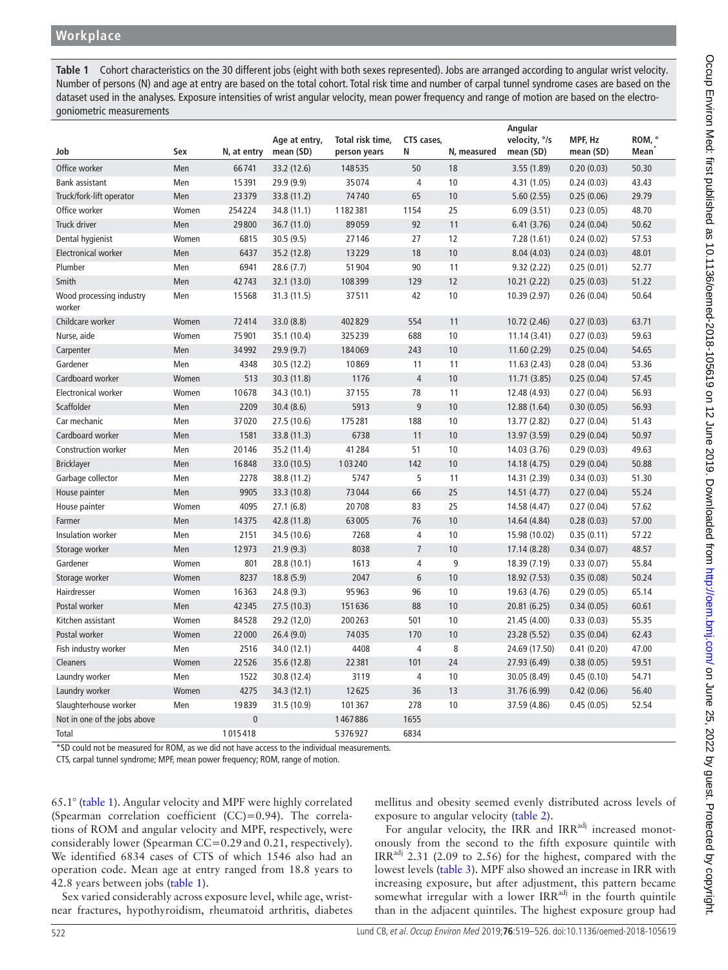<span id="page-3-0"></span>**Table 1** Cohort characteristics on the 30 different jobs (eight with both sexes represented). Jobs are arranged according to angular wrist velocity. Number of persons (N) and age at entry are based on the total cohort. Total risk time and number of carpal tunnel syndrome cases are based on the dataset used in the analyses. Exposure intensities of wrist angular velocity, mean power frequency and range of motion are based on the electrogoniometric measurements

|                                    |       |              |               |                  |                 |             | Angular       |            |                       |
|------------------------------------|-------|--------------|---------------|------------------|-----------------|-------------|---------------|------------|-----------------------|
|                                    | Sex   |              | Age at entry, | Total risk time, | CTS cases,<br>Ν |             | velocity, °/s | MPF, Hz    | ROM, °<br><b>Mean</b> |
| Job                                |       | N, at entry  | mean (SD)     | person years     |                 | N, measured | mean (SD)     | mean (SD)  |                       |
| Office worker                      | Men   | 66741        | 33.2 (12.6)   | 148535           | 50              | 18          | 3.55 (1.89)   | 0.20(0.03) | 50.30                 |
| Bank assistant                     | Men   | 15391        | 29.9 (9.9)    | 35074            | $\overline{4}$  | 10          | 4.31 (1.05)   | 0.24(0.03) | 43.43                 |
| Truck/fork-lift operator           | Men   | 23379        | 33.8 (11.2)   | 74740            | 65              | 10          | 5.60(2.55)    | 0.25(0.06) | 29.79                 |
| Office worker                      | Women | 254224       | 34.8 (11.1)   | 1182381          | 1154            | 25          | 6.09(3.51)    | 0.23(0.05) | 48.70                 |
| Truck driver                       | Men   | 29800        | 36.7 (11.0)   | 89059            | 92              | 11          | 6.41(3.76)    | 0.24(0.04) | 50.62                 |
| Dental hygienist                   | Women | 6815         | 30.5 (9.5)    | 27146            | 27              | 12          | 7.28(1.61)    | 0.24(0.02) | 57.53                 |
| <b>Electronical worker</b>         | Men   | 6437         | 35.2 (12.8)   | 13229            | 18              | 10          | 8.04(4.03)    | 0.24(0.03) | 48.01                 |
| Plumber                            | Men   | 6941         | 28.6 (7.7)    | 51 904           | 90              | 11          | 9.32(2.22)    | 0.25(0.01) | 52.77                 |
| Smith                              | Men   | 42743        | 32.1 (13.0)   | 108399           | 129             | 12          | 10.21(2.22)   | 0.25(0.03) | 51.22                 |
| Wood processing industry<br>worker | Men   | 15568        | 31.3 (11.5)   | 37511            | 42              | 10          | 10.39 (2.97)  | 0.26(0.04) | 50.64                 |
| Childcare worker                   | Women | 72414        | 33.0 (8.8)    | 402829           | 554             | 11          | 10.72 (2.46)  | 0.27(0.03) | 63.71                 |
| Nurse, aide                        | Women | 75901        | 35.1 (10.4)   | 325239           | 688             | 10          | 11.14(3.41)   | 0.27(0.03) | 59.63                 |
| Carpenter                          | Men   | 34992        | 29.9 (9.7)    | 184069           | 243             | 10          | 11.60(2.29)   | 0.25(0.04) | 54.65                 |
| Gardener                           | Men   | 4348         | 30.5 (12.2)   | 10869            | 11              | 11          | 11.63(2.43)   | 0.28(0.04) | 53.36                 |
| Cardboard worker                   | Women | 513          | 30.3 (11.8)   | 1176             | $\overline{4}$  | 10          | 11.71(3.85)   | 0.25(0.04) | 57.45                 |
| <b>Electronical worker</b>         | Women | 10678        | 34.3 (10.1)   | 37155            | 78              | 11          | 12.48 (4.93)  | 0.27(0.04) | 56.93                 |
| Scaffolder                         | Men   | 2209         | 30.4(8.6)     | 5913             | 9               | 10          | 12.88 (1.64)  | 0.30(0.05) | 56.93                 |
| Car mechanic                       | Men   | 37020        | 27.5 (10.6)   | 175281           | 188             | 10          | 13.77 (2.82)  | 0.27(0.04) | 51.43                 |
| Cardboard worker                   | Men   | 1581         | 33.8 (11.3)   | 6738             | 11              | 10          | 13.97 (3.59)  | 0.29(0.04) | 50.97                 |
| <b>Construction worker</b>         | Men   | 20146        | 35.2 (11.4)   | 41284            | 51              | 10          | 14.03 (3.76)  | 0.29(0.03) | 49.63                 |
| <b>Bricklayer</b>                  | Men   | 16848        | 33.0 (10.5)   | 103240           | 142             | 10          | 14.18 (4.75)  | 0.29(0.04) | 50.88                 |
| Garbage collector                  | Men   | 2278         | 38.8 (11.2)   | 5747             | 5               | 11          | 14.31 (2.39)  | 0.34(0.03) | 51.30                 |
| House painter                      | Men   | 9905         | 33.3 (10.8)   | 73044            | 66              | 25          | 14.51 (4.77)  | 0.27(0.04) | 55.24                 |
| House painter                      | Women | 4095         | 27.1(6.8)     | 20708            | 83              | 25          | 14.58 (4.47)  | 0.27(0.04) | 57.62                 |
| Farmer                             | Men   | 14375        | 42.8 (11.8)   | 63005            | 76              | 10          | 14.64 (4.84)  | 0.28(0.03) | 57.00                 |
| Insulation worker                  | Men   | 2151         | 34.5 (10.6)   | 7268             | 4               | 10          | 15.98 (10.02) | 0.35(0.11) | 57.22                 |
| Storage worker                     | Men   | 12973        | 21.9(9.3)     | 8038             | $\overline{7}$  | 10          | 17.14 (8.28)  | 0.34(0.07) | 48.57                 |
| Gardener                           | Women | 801          | 28.8 (10.1)   | 1613             | 4               | 9           | 18.39 (7.19)  | 0.33(0.07) | 55.84                 |
| Storage worker                     | Women | 8237         | 18.8(5.9)     | 2047             | 6               | 10          | 18.92 (7.53)  | 0.35(0.08) | 50.24                 |
| Hairdresser                        | Women | 16363        | 24.8 (9.3)    | 95963            | 96              | 10          | 19.63 (4.76)  | 0.29(0.05) | 65.14                 |
| Postal worker                      | Men   | 42345        | 27.5 (10.3)   | 151636           | 88              | 10          | 20.81 (6.25)  | 0.34(0.05) | 60.61                 |
| Kitchen assistant                  | Women | 84528        | 29.2 (12,0)   | 200263           | 501             | 10          | 21.45 (4.00)  | 0.33(0.03) | 55.35                 |
| Postal worker                      | Women | 22000        | 26.4(9.0)     | 74035            | 170             | 10          | 23.28 (5.52)  | 0.35(0.04) | 62.43                 |
| Fish industry worker               | Men   | 2516         | 34.0 (12.1)   | 4408             | $\overline{4}$  | 8           | 24.69 (17.50) | 0.41(0.20) | 47.00                 |
| Cleaners                           | Women | 22526        | 35.6 (12.8)   | 22381            | 101             | 24          | 27.93 (6.49)  | 0.38(0.05) | 59.51                 |
| Laundry worker                     | Men   | 1522         | 30.8 (12.4)   | 3119             | $\overline{4}$  | 10          | 30.05 (8.49)  | 0.45(0.10) | 54.71                 |
| Laundry worker                     | Women | 4275         | 34.3 (12.1)   | 12625            | 36              | 13          | 31.76 (6.99)  | 0.42(0.06) | 56.40                 |
| Slaughterhouse worker              | Men   | 19839        | 31.5 (10.9)   | 101367           | 278             | 10          | 37.59 (4.86)  | 0.45(0.05) | 52.54                 |
| Not in one of the jobs above       |       | $\mathbf{0}$ |               | 1467886          | 1655            |             |               |            |                       |
| Total                              |       | 1015418      |               | 5376927          | 6834            |             |               |            |                       |
|                                    |       |              |               |                  |                 |             |               |            |                       |

\*SD could not be measured for ROM, as we did not have access to the individual measurements.

CTS, carpal tunnel syndrome; MPF, mean power frequency; ROM, range of motion.

65.1° ([table](#page-3-0) 1). Angular velocity and MPF were highly correlated (Spearman correlation coefficient (CC)=0.94). The correlations of ROM and angular velocity and MPF, respectively, were considerably lower (Spearman CC=0.29and 0.21, respectively). We identified 6834 cases of CTS of which 1546 also had an operation code. Mean age at entry ranged from 18.8 years to 42.8 years between jobs [\(table](#page-3-0) 1).

Sex varied considerably across exposure level, while age, wristnear fractures, hypothyroidism, rheumatoid arthritis, diabetes

mellitus and obesity seemed evenly distributed across levels of exposure to angular velocity [\(table](#page-4-0) 2).

For angular velocity, the IRR and IRR<sup>adj</sup> increased monotonously from the second to the fifth exposure quintile with  $IRR^{adj}$  2.31 (2.09 to 2.56) for the highest, compared with the lowest levels [\(table](#page-4-1) 3). MPF also showed an increase in IRR with increasing exposure, but after adjustment, this pattern became somewhat irregular with a lower IRR<sup>adj</sup> in the fourth quintile than in the adjacent quintiles. The highest exposure group had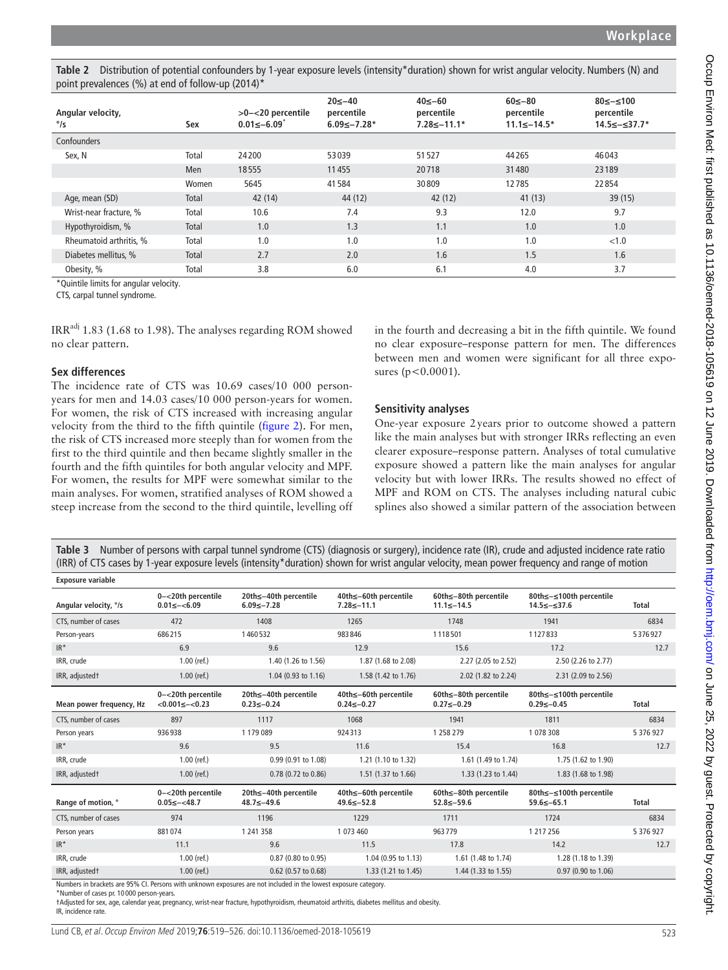<span id="page-4-0"></span>**Table 2** Distribution of potential confounders by 1-year exposure levels (intensity\*duration) shown for wrist angular velocity. Numbers (N) and point prevalences (%) at end of follow-up (2014)\*

| Angular velocity,<br>$^{\circ}/s$ | Sex          | >0-<20 percentile<br>$0.01 \le -6.09$ | $20 \le -40$<br>percentile<br>$6.09 \le -7.28*$ | $40≤-60$<br>percentile<br>$7.28 \le -11.1*$ | $60 \le -80$<br>percentile<br>$11.1 \le -14.5*$ | $80 \le -\le 100$<br>percentile<br>14.5≤-≤37.7* |
|-----------------------------------|--------------|---------------------------------------|-------------------------------------------------|---------------------------------------------|-------------------------------------------------|-------------------------------------------------|
| Confounders                       |              |                                       |                                                 |                                             |                                                 |                                                 |
| Sex, N                            | Total        | 24200                                 | 53039                                           | 51527                                       | 44 2 65                                         | 46043                                           |
|                                   | Men          | 18555                                 | 11455                                           | 20718                                       | 31480                                           | 23189                                           |
|                                   | Women        | 5645                                  | 41584                                           | 30809                                       | 12785                                           | 22854                                           |
| Age, mean (SD)                    | Total        | 42 (14)                               | 44 (12)                                         | 42 (12)                                     | 41(13)                                          | 39(15)                                          |
| Wrist-near fracture, %            | Total        | 10.6                                  | 7.4                                             | 9.3                                         | 12.0                                            | 9.7                                             |
| Hypothyroidism, %                 | <b>Total</b> | 1.0                                   | 1.3                                             | 1.1                                         | 1.0                                             | 1.0                                             |
| Rheumatoid arthritis, %           | Total        | 1.0                                   | 1.0                                             | 1.0                                         | 1.0                                             | < 1.0                                           |
| Diabetes mellitus, %              | Total        | 2.7                                   | 2.0                                             | 1.6                                         | 1.5                                             | 1.6                                             |
| Obesity, %                        | Total        | 3.8                                   | 6.0                                             | 6.1                                         | 4.0                                             | 3.7                                             |

\*Quintile limits for angular velocity.

CTS, carpal tunnel syndrome.

IRR<sup>adj</sup> 1.83 (1.68 to 1.98). The analyses regarding ROM showed no clear pattern.

## **Sex differences**

The incidence rate of CTS was 10.69 cases/10 000 personyears for men and 14.03 cases/10 000 person-years for women. For women, the risk of CTS increased with increasing angular velocity from the third to the fifth quintile [\(figure](#page-5-0) 2). For men, the risk of CTS increased more steeply than for women from the first to the third quintile and then became slightly smaller in the fourth and the fifth quintiles for both angular velocity and MPF. For women, the results for MPF were somewhat similar to the main analyses. For women, stratified analyses of ROM showed a steep increase from the second to the third quintile, levelling off

in the fourth and decreasing a bit in the fifth quintile. We found no clear exposure–response pattern for men. The differences between men and women were significant for all three exposures ( $p < 0.0001$ ).

# **Sensitivity analyses**

One-year exposure 2years prior to outcome showed a pattern like the main analyses but with stronger IRRs reflecting an even clearer exposure–response pattern. Analyses of total cumulative exposure showed a pattern like the main analyses for angular velocity but with lower IRRs. The results showed no effect of MPF and ROM on CTS. The analyses including natural cubic splines also showed a similar pattern of the association between

<span id="page-4-1"></span>**Table 3** Number of persons with carpal tunnel syndrome (CTS) (diagnosis or surgery), incidence rate (IR), crude and adjusted incidence rate ratio (IRR) of CTS cases by 1-year exposure levels (intensity\*duration) shown for wrist angular velocity, mean power frequency and range of motion

| <b>Exposure variable</b> |                                             |                                                                                                                |                                           |                                           |                                             |              |
|--------------------------|---------------------------------------------|----------------------------------------------------------------------------------------------------------------|-------------------------------------------|-------------------------------------------|---------------------------------------------|--------------|
| Angular velocity, °/s    | 0-<20th percentile<br>$0.01 \le -\le 6.09$  | 20th≤-40th percentile<br>$6.09 \le -7.28$                                                                      | 40th≤-60th percentile<br>$7.28 \le -11.1$ | 60th≤-80th percentile<br>$11.1 \le -14.5$ | 80th≤-≤100th percentile<br>14.5≤-≤37.6      | <b>Total</b> |
| CTS, number of cases     | 472                                         | 1408                                                                                                           | 1265                                      | 1748                                      | 1941                                        | 6834         |
| Person-years             | 686215                                      | 1460532                                                                                                        | 983846                                    | 1118501                                   | 1127833                                     | 5376927      |
| $IR^*$                   | 6.9                                         | 9.6                                                                                                            | 12.9                                      | 15.6                                      | 17.2                                        | 12.7         |
| IRR, crude               | $1.00$ (ref.)                               | 1.40 (1.26 to 1.56)                                                                                            | 1.87 (1.68 to 2.08)                       | 2.27 (2.05 to 2.52)                       | 2.50 (2.26 to 2.77)                         |              |
| IRR, adjustedt           | $1.00$ (ref.)                               | 1.04 (0.93 to 1.16)                                                                                            | 1.58 (1.42 to 1.76)                       | 2.02 (1.82 to 2.24)                       | 2.31 (2.09 to 2.56)                         |              |
| Mean power frequency, Hz | 0-<20th percentile<br>$<0.001 \le -<0.23$   | 20th≤-40th percentile<br>$0.23 \le -0.24$                                                                      | 40th≤-60th percentile<br>$0.24 \le -0.27$ | 60th≤-80th percentile<br>$0.27 \le -0.29$ | 80th≤-≤100th percentile<br>$0.29 \le -0.45$ | <b>Total</b> |
| CTS, number of cases     | 897                                         | 1117                                                                                                           | 1068                                      | 1941                                      | 1811                                        | 6834         |
| Person years             | 936938                                      | 1179089                                                                                                        | 924313                                    | 1 258 279                                 | 1 078 308                                   | 5 376 927    |
| $IR^*$                   | 9.6                                         | 9.5                                                                                                            | 11.6                                      | 15.4                                      | 16.8                                        | 12.7         |
| IRR, crude               | $1.00$ (ref.)                               | 0.99 (0.91 to 1.08)                                                                                            | 1.21 (1.10 to 1.32)                       | 1.61 (1.49 to 1.74)                       | 1.75 (1.62 to 1.90)                         |              |
| IRR, adjustedt           | $1.00$ (ref.)                               | 0.78 (0.72 to 0.86)                                                                                            | 1.51 (1.37 to 1.66)                       | 1.33 (1.23 to 1.44)                       | 1.83 (1.68 to 1.98)                         |              |
| Range of motion, °       | 0-<20th percentile<br>$0.05 \le - \le 48.7$ | 20th≤-40th percentile<br>48.7≤-49.6                                                                            | 40th≤-60th percentile<br>49.6≤-52.8       | 60th≤-80th percentile<br>$52.8 \le -59.6$ | 80th≤-≤100th percentile<br>$59.6 \le -65.1$ | <b>Total</b> |
| CTS, number of cases     | 974                                         | 1196                                                                                                           | 1229                                      | 1711                                      | 1724                                        | 6834         |
| Person years             | 881074                                      | 1 241 358                                                                                                      | 1 073 460                                 | 963779                                    | 1 217 256                                   | 5 376 927    |
| $IR^*$                   | 11.1                                        | 9.6                                                                                                            | 11.5                                      | 17.8                                      | 14.2                                        | 12.7         |
| IRR, crude               | $1.00$ (ref.)                               | 0.87 (0.80 to 0.95)                                                                                            | 1.04 (0.95 to 1.13)                       | 1.61 (1.48 to 1.74)                       | 1.28 (1.18 to 1.39)                         |              |
| IRR, adjustedt           | $1.00$ (ref.)                               | 0.62 (0.57 to 0.68)                                                                                            | 1.33 (1.21 to 1.45)                       | 1.44 (1.33 to 1.55)                       | 0.97 (0.90 to 1.06)                         |              |
|                          |                                             | Numbers in brackets are 95% CL Persons with unknown exposures are not included in the lowest exposure category |                                           |                                           |                                             |              |

Numbers in brackets are 95% CI. Persons with unknown exposures are not included in the lowest exposure category.

\*Number of cases pr. 10 000 person-years.

†Adjusted for sex, age, calendar year, pregnancy, wrist-near fracture, hypothyroidism, rheumatoid arthritis, diabetes mellitus and obesity. IR, incidence rate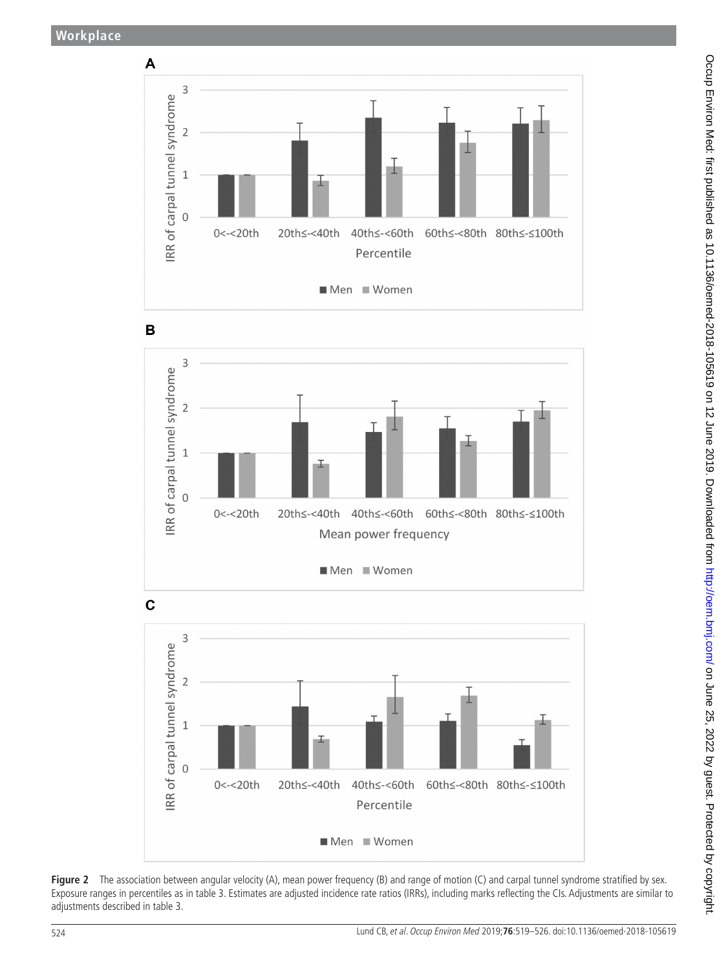







<span id="page-5-0"></span>Figure 2 The association between angular velocity (A), mean power frequency (B) and range of motion (C) and carpal tunnel syndrome stratified by sex. Exposure ranges in percentiles as in [table 3](#page-4-1). Estimates are adjusted incidence rate ratios (IRRs), including marks reflecting the CIs. Adjustments are similar to adjustments described in [table 3.](#page-4-1)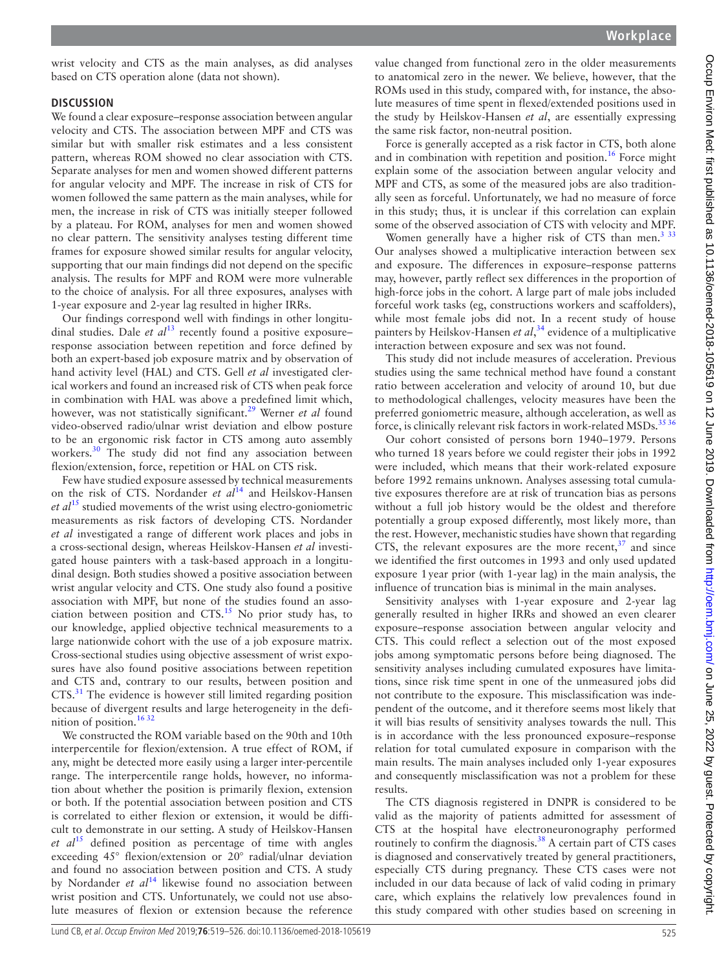wrist velocity and CTS as the main analyses, as did analyses based on CTS operation alone (data not shown).

#### **Discussion**

We found a clear exposure–response association between angular velocity and CTS. The association between MPF and CTS was similar but with smaller risk estimates and a less consistent pattern, whereas ROM showed no clear association with CTS. Separate analyses for men and women showed different patterns for angular velocity and MPF. The increase in risk of CTS for women followed the same pattern as the main analyses, while for men, the increase in risk of CTS was initially steeper followed by a plateau. For ROM, analyses for men and women showed no clear pattern. The sensitivity analyses testing different time frames for exposure showed similar results for angular velocity, supporting that our main findings did not depend on the specific analysis. The results for MPF and ROM were more vulnerable to the choice of analysis. For all three exposures, analyses with 1-year exposure and 2-year lag resulted in higher IRRs.

Our findings correspond well with findings in other longitudinal studies. Dale *et al*<sup>[13](#page-7-17)</sup> recently found a positive exposure– response association between repetition and force defined by both an expert-based job exposure matrix and by observation of hand activity level (HAL) and CTS. Gell *et al* investigated clerical workers and found an increased risk of CTS when peak force in combination with HAL was above a predefined limit which, however, was not statistically significant.<sup>[29](#page-7-18)</sup> Werner et al found video-observed radio/ulnar wrist deviation and elbow posture to be an ergonomic risk factor in CTS among auto assembly workers.<sup>[30](#page-7-19)</sup> The study did not find any association between flexion/extension, force, repetition or HAL on CTS risk.

Few have studied exposure assessed by technical measurements on the risk of CTS. Nordander *et al*[14](#page-7-20) and Heilskov-Hansen *et al*[15](#page-7-9) studied movements of the wrist using electro-goniometric measurements as risk factors of developing CTS. Nordander *et al* investigated a range of different work places and jobs in a cross-sectional design, whereas Heilskov-Hansen *et al* investigated house painters with a task-based approach in a longitudinal design. Both studies showed a positive association between wrist angular velocity and CTS. One study also found a positive association with MPF, but none of the studies found an association between position and  $CTS$ <sup>[15](#page-7-9)</sup> No prior study has, to our knowledge, applied objective technical measurements to a large nationwide cohort with the use of a job exposure matrix. Cross-sectional studies using objective assessment of wrist exposures have also found positive associations between repetition and CTS and, contrary to our results, between position and CTS.<sup>[31](#page-7-21)</sup> The evidence is however still limited regarding position because of divergent results and large heterogeneity in the definition of position.<sup>1632</sup>

We constructed the ROM variable based on the 90th and 10th interpercentile for flexion/extension. A true effect of ROM, if any, might be detected more easily using a larger inter-percentile range. The interpercentile range holds, however, no information about whether the position is primarily flexion, extension or both. If the potential association between position and CTS is correlated to either flexion or extension, it would be difficult to demonstrate in our setting. A study of Heilskov-Hansen *et al*[15](#page-7-9) defined position as percentage of time with angles exceeding 45° flexion/extension or 20° radial/ulnar deviation and found no association between position and CTS. A study by Nordander *et al*<sup>[14](#page-7-20)</sup> likewise found no association between wrist position and CTS. Unfortunately, we could not use absolute measures of flexion or extension because the reference

value changed from functional zero in the older measurements to anatomical zero in the newer. We believe, however, that the ROMs used in this study, compared with, for instance, the absolute measures of time spent in flexed/extended positions used in the study by Heilskov-Hansen *et al*, are essentially expressing the same risk factor, non-neutral position.

Force is generally accepted as a risk factor in CTS, both alone and in combination with repetition and position.<sup>16</sup> Force might explain some of the association between angular velocity and MPF and CTS, as some of the measured jobs are also traditionally seen as forceful. Unfortunately, we had no measure of force in this study; thus, it is unclear if this correlation can explain some of the observed association of CTS with velocity and MPF.

Women generally have a higher risk of CTS than men.<sup>3 33</sup> Our analyses showed a multiplicative interaction between sex and exposure. The differences in exposure–response patterns may, however, partly reflect sex differences in the proportion of high-force jobs in the cohort. A large part of male jobs included forceful work tasks (eg, constructions workers and scaffolders), while most female jobs did not. In a recent study of house painters by Heilskov-Hansen *et al*, [34](#page-7-23) evidence of a multiplicative interaction between exposure and sex was not found.

This study did not include measures of acceleration. Previous studies using the same technical method have found a constant ratio between acceleration and velocity of around 10, but due to methodological challenges, velocity measures have been the preferred goniometric measure, although acceleration, as well as force, is clinically relevant risk factors in work-related MSDs.<sup>3536</sup>

Our cohort consisted of persons born 1940–1979. Persons who turned 18 years before we could register their jobs in 1992 were included, which means that their work-related exposure before 1992 remains unknown. Analyses assessing total cumulative exposures therefore are at risk of truncation bias as persons without a full job history would be the oldest and therefore potentially a group exposed differently, most likely more, than the rest. However, mechanistic studies have shown that regarding CTS, the relevant exposures are the more recent, $37$  and since we identified the first outcomes in 1993 and only used updated exposure 1year prior (with 1-year lag) in the main analysis, the influence of truncation bias is minimal in the main analyses.

Sensitivity analyses with 1-year exposure and 2-year lag generally resulted in higher IRRs and showed an even clearer exposure–response association between angular velocity and CTS. This could reflect a selection out of the most exposed jobs among symptomatic persons before being diagnosed. The sensitivity analyses including cumulated exposures have limitations, since risk time spent in one of the unmeasured jobs did not contribute to the exposure. This misclassification was independent of the outcome, and it therefore seems most likely that it will bias results of sensitivity analyses towards the null. This is in accordance with the less pronounced exposure–response relation for total cumulated exposure in comparison with the main results. The main analyses included only 1-year exposures and consequently misclassification was not a problem for these results.

The CTS diagnosis registered in DNPR is considered to be valid as the majority of patients admitted for assessment of CTS at the hospital have electroneuronography performed routinely to confirm the diagnosis. $38$  A certain part of CTS cases is diagnosed and conservatively treated by general practitioners, especially CTS during pregnancy. These CTS cases were not included in our data because of lack of valid coding in primary care, which explains the relatively low prevalences found in this study compared with other studies based on screening in